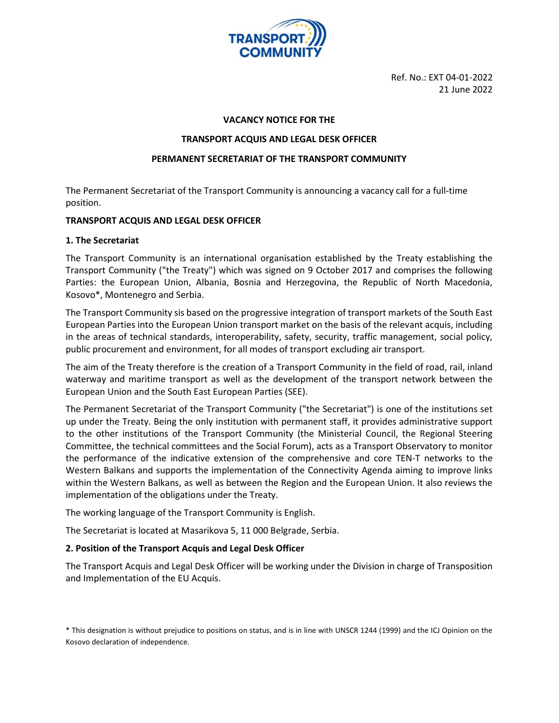

Ref. No.: EXT 04-01-2022 21 June 2022

#### VACANCY NOTICE FOR THE

#### TRANSPORT ACQUIS AND LEGAL DESK OFFICER

#### PERMANENT SECRETARIAT OF THE TRANSPORT COMMUNITY

The Permanent Secretariat of the Transport Community is announcing a vacancy call for a full-time position.

#### TRANSPORT ACQUIS AND LEGAL DESK OFFICER

#### 1. The Secretariat

The Transport Community is an international organisation established by the Treaty establishing the Transport Community ("the Treaty") which was signed on 9 October 2017 and comprises the following Parties: the European Union, Albania, Bosnia and Herzegovina, the Republic of North Macedonia, Kosovo\*, Montenegro and Serbia.

The Transport Community sis based on the progressive integration of transport markets of the South East European Parties into the European Union transport market on the basis of the relevant acquis, including in the areas of technical standards, interoperability, safety, security, traffic management, social policy, public procurement and environment, for all modes of transport excluding air transport.

The aim of the Treaty therefore is the creation of a Transport Community in the field of road, rail, inland waterway and maritime transport as well as the development of the transport network between the European Union and the South East European Parties (SEE).

The Permanent Secretariat of the Transport Community ("the Secretariat") is one of the institutions set up under the Treaty. Being the only institution with permanent staff, it provides administrative support to the other institutions of the Transport Community (the Ministerial Council, the Regional Steering Committee, the technical committees and the Social Forum), acts as a Transport Observatory to monitor the performance of the indicative extension of the comprehensive and core TEN-T networks to the Western Balkans and supports the implementation of the Connectivity Agenda aiming to improve links within the Western Balkans, as well as between the Region and the European Union. It also reviews the implementation of the obligations under the Treaty.

The working language of the Transport Community is English.

The Secretariat is located at Masarikova 5, 11 000 Belgrade, Serbia.

## 2. Position of the Transport Acquis and Legal Desk Officer

The Transport Acquis and Legal Desk Officer will be working under the Division in charge of Transposition and Implementation of the EU Acquis.

\* This designation is without prejudice to positions on status, and is in line with UNSCR 1244 (1999) and the ICJ Opinion on the Kosovo declaration of independence.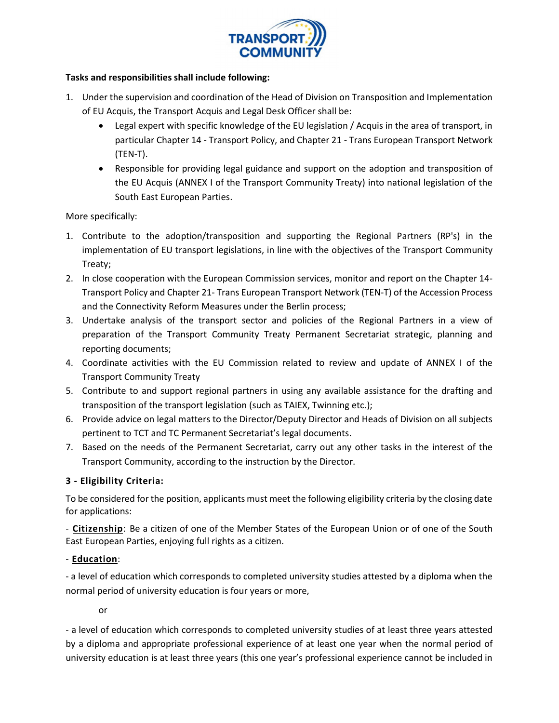

## Tasks and responsibilities shall include following:

- 1. Under the supervision and coordination of the Head of Division on Transposition and Implementation of EU Acquis, the Transport Acquis and Legal Desk Officer shall be:
	- Legal expert with specific knowledge of the EU legislation / Acquis in the area of transport, in particular Chapter 14 - Transport Policy, and Chapter 21 - Trans European Transport Network (TEN-T).
	- Responsible for providing legal guidance and support on the adoption and transposition of the EU Acquis (ANNEX I of the Transport Community Treaty) into national legislation of the South East European Parties.

# More specifically:

- 1. Contribute to the adoption/transposition and supporting the Regional Partners (RP's) in the implementation of EU transport legislations, in line with the objectives of the Transport Community Treaty;
- 2. In close cooperation with the European Commission services, monitor and report on the Chapter 14- Transport Policy and Chapter 21- Trans European Transport Network (TEN-T) of the Accession Process and the Connectivity Reform Measures under the Berlin process;
- 3. Undertake analysis of the transport sector and policies of the Regional Partners in a view of preparation of the Transport Community Treaty Permanent Secretariat strategic, planning and reporting documents;
- 4. Coordinate activities with the EU Commission related to review and update of ANNEX I of the Transport Community Treaty
- 5. Contribute to and support regional partners in using any available assistance for the drafting and transposition of the transport legislation (such as TAIEX, Twinning etc.);
- 6. Provide advice on legal matters to the Director/Deputy Director and Heads of Division on all subjects pertinent to TCT and TC Permanent Secretariat's legal documents.
- 7. Based on the needs of the Permanent Secretariat, carry out any other tasks in the interest of the Transport Community, according to the instruction by the Director.

# 3 - Eligibility Criteria:

To be considered for the position, applicants must meet the following eligibility criteria by the closing date for applications:

- Citizenship: Be a citizen of one of the Member States of the European Union or of one of the South East European Parties, enjoying full rights as a citizen.

# - Education:

- a level of education which corresponds to completed university studies attested by a diploma when the normal period of university education is four years or more,

or

- a level of education which corresponds to completed university studies of at least three years attested by a diploma and appropriate professional experience of at least one year when the normal period of university education is at least three years (this one year's professional experience cannot be included in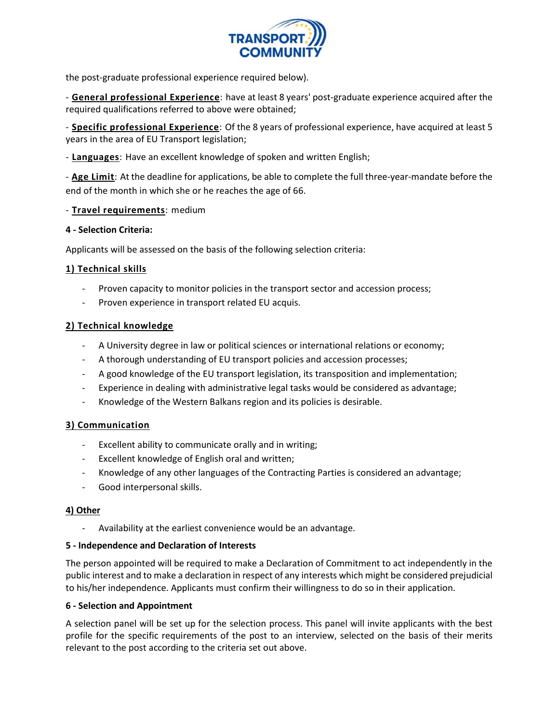

the post-graduate professional experience required below).

- General professional Experience: have at least 8 years' post-graduate experience acquired after the required qualifications referred to above were obtained;

- Specific professional Experience: Of the 8 years of professional experience, have acquired at least 5 years in the area of EU Transport legislation;

- Languages: Have an excellent knowledge of spoken and written English;

- Age Limit: At the deadline for applications, be able to complete the full three-year-mandate before the end of the month in which she or he reaches the age of 66.

#### - Travel requirements: medium

#### 4 - Selection Criteria:

Applicants will be assessed on the basis of the following selection criteria:

## 1) Technical skills

- Proven capacity to monitor policies in the transport sector and accession process;
- Proven experience in transport related EU acquis.

## 2) Technical knowledge

- A University degree in law or political sciences or international relations or economy;
- A thorough understanding of EU transport policies and accession processes;
- A good knowledge of the EU transport legislation, its transposition and implementation;
- Experience in dealing with administrative legal tasks would be considered as advantage;
- Knowledge of the Western Balkans region and its policies is desirable.

## 3) Communication

- Excellent ability to communicate orally and in writing;
- Excellent knowledge of English oral and written;
- Knowledge of any other languages of the Contracting Parties is considered an advantage;
- Good interpersonal skills.

#### 4) Other

Availability at the earliest convenience would be an advantage.

#### 5 - Independence and Declaration of Interests

The person appointed will be required to make a Declaration of Commitment to act independently in the public interest and to make a declaration in respect of any interests which might be considered prejudicial to his/her independence. Applicants must confirm their willingness to do so in their application.

#### 6 - Selection and Appointment

A selection panel will be set up for the selection process. This panel will invite applicants with the best profile for the specific requirements of the post to an interview, selected on the basis of their merits relevant to the post according to the criteria set out above.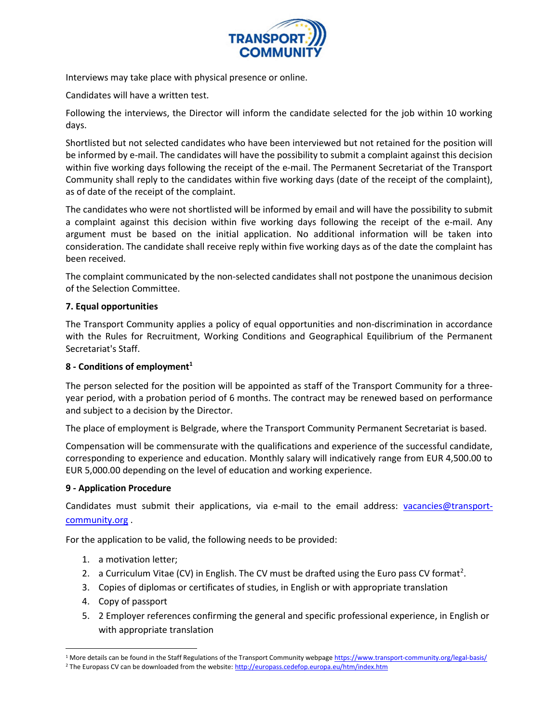

Interviews may take place with physical presence or online.

Candidates will have a written test.

Following the interviews, the Director will inform the candidate selected for the job within 10 working days.

Shortlisted but not selected candidates who have been interviewed but not retained for the position will be informed by e-mail. The candidates will have the possibility to submit a complaint against this decision within five working days following the receipt of the e-mail. The Permanent Secretariat of the Transport Community shall reply to the candidates within five working days (date of the receipt of the complaint), as of date of the receipt of the complaint.

The candidates who were not shortlisted will be informed by email and will have the possibility to submit a complaint against this decision within five working days following the receipt of the e-mail. Any argument must be based on the initial application. No additional information will be taken into consideration. The candidate shall receive reply within five working days as of the date the complaint has been received.

The complaint communicated by the non-selected candidates shall not postpone the unanimous decision of the Selection Committee.

# 7. Equal opportunities

The Transport Community applies a policy of equal opportunities and non-discrimination in accordance with the Rules for Recruitment, Working Conditions and Geographical Equilibrium of the Permanent Secretariat's Staff.

## 8 - Conditions of employment<sup>1</sup>

The person selected for the position will be appointed as staff of the Transport Community for a threeyear period, with a probation period of 6 months. The contract may be renewed based on performance and subject to a decision by the Director.

The place of employment is Belgrade, where the Transport Community Permanent Secretariat is based.

Compensation will be commensurate with the qualifications and experience of the successful candidate, corresponding to experience and education. Monthly salary will indicatively range from EUR 4,500.00 to EUR 5,000.00 depending on the level of education and working experience.

## 9 - Application Procedure

Candidates must submit their applications, via e-mail to the email address: vacancies@transportcommunity.org .

For the application to be valid, the following needs to be provided:

- 1. a motivation letter;
- 2. a Curriculum Vitae (CV) in English. The CV must be drafted using the Euro pass CV format<sup>2</sup>.
- 3. Copies of diplomas or certificates of studies, in English or with appropriate translation
- 4. Copy of passport
- 5. 2 Employer references confirming the general and specific professional experience, in English or with appropriate translation

<sup>&</sup>lt;sup>1</sup> More details can be found in the Staff Regulations of the Transport Community webpage https://www.transport-community.org/legal-basis/

<sup>&</sup>lt;sup>2</sup> The Europass CV can be downloaded from the website: http://europass.cedefop.europa.eu/htm/index.htm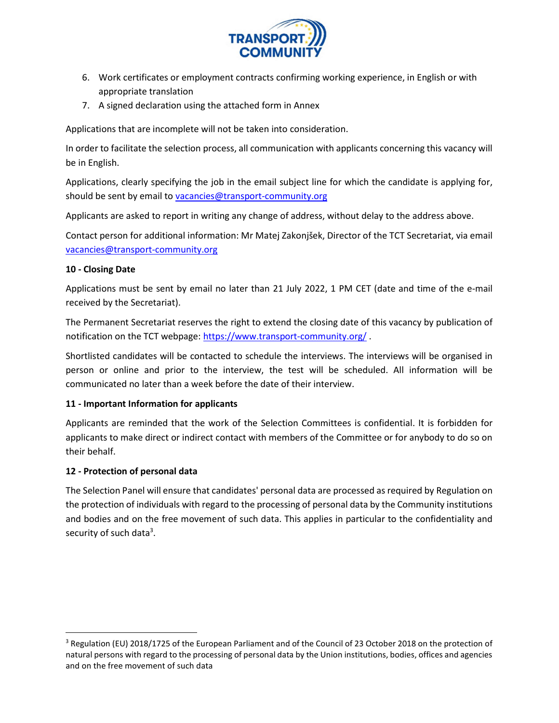

- 6. Work certificates or employment contracts confirming working experience, in English or with appropriate translation
- 7. A signed declaration using the attached form in Annex

Applications that are incomplete will not be taken into consideration.

In order to facilitate the selection process, all communication with applicants concerning this vacancy will be in English.

Applications, clearly specifying the job in the email subject line for which the candidate is applying for, should be sent by email to vacancies@transport-community.org

Applicants are asked to report in writing any change of address, without delay to the address above.

Contact person for additional information: Mr Matej Zakonjšek, Director of the TCT Secretariat, via email vacancies@transport-community.org

# 10 - Closing Date

Applications must be sent by email no later than 21 July 2022, 1 PM CET (date and time of the e-mail received by the Secretariat).

The Permanent Secretariat reserves the right to extend the closing date of this vacancy by publication of notification on the TCT webpage: https://www.transport-community.org/.

Shortlisted candidates will be contacted to schedule the interviews. The interviews will be organised in person or online and prior to the interview, the test will be scheduled. All information will be communicated no later than a week before the date of their interview.

## 11 - Important Information for applicants

Applicants are reminded that the work of the Selection Committees is confidential. It is forbidden for applicants to make direct or indirect contact with members of the Committee or for anybody to do so on their behalf.

## 12 - Protection of personal data

The Selection Panel will ensure that candidates' personal data are processed as required by Regulation on the protection of individuals with regard to the processing of personal data by the Community institutions and bodies and on the free movement of such data. This applies in particular to the confidentiality and security of such data<sup>3</sup>.

<sup>&</sup>lt;sup>3</sup> Regulation (EU) 2018/1725 of the European Parliament and of the Council of 23 October 2018 on the protection of natural persons with regard to the processing of personal data by the Union institutions, bodies, offices and agencies and on the free movement of such data